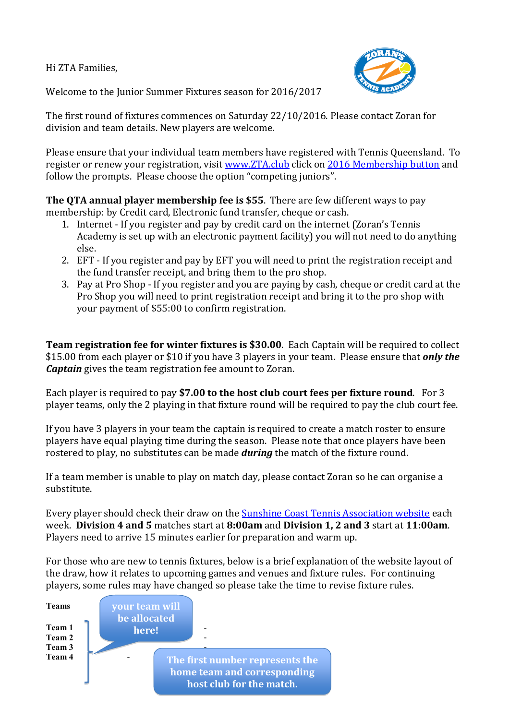Hi ZTA Families,



Welcome to the Junior Summer Fixtures season for 2016/2017

The first round of fixtures commences on Saturday 22/10/2016. Please contact Zoran for division and team details. New players are welcome.

Please ensure that your individual team members have registered with Tennis Queensland. To register or renew your registration, visit [www.ZTA.club](http://www.zta.club/) click on [2016 Membership button](http://www.zta.club/) and follow the prompts. Please choose the option "competing juniors".

**The QTA annual player membership fee is \$55**. There are few different ways to pay membership: by Credit card, Electronic fund transfer, cheque or cash.

- 1. Internet If you register and pay by credit card on the internet (Zoran's Tennis Academy is set up with an electronic payment facility) you will not need to do anything else.
- 2. EFT If you register and pay by EFT you will need to print the registration receipt and the fund transfer receipt, and bring them to the pro shop.
- 3. Pay at Pro Shop If you register and you are paying by cash, cheque or credit card at the Pro Shop you will need to print registration receipt and bring it to the pro shop with your payment of \$55:00 to confirm registration.

**Team registration fee for winter fixtures is \$30.00**. Each Captain will be required to collect \$15.00 from each player or \$10 if you have 3 players in your team. Please ensure that *only the Captain* gives the team registration fee amount to Zoran.

Each player is required to pay **\$7.00 to the host club court fees per fixture round**. For 3 player teams, only the 2 playing in that fixture round will be required to pay the club court fee.

If you have 3 players in your team the captain is required to create a match roster to ensure players have equal playing time during the season. Please note that once players have been rostered to play, no substitutes can be made *during* the match of the fixture round.

If a team member is unable to play on match day, please contact Zoran so he can organise a substitute.

Every player should check their draw on th[e Sunshine Coast Tennis Association website](http://www.sunshinecoasttennis.com.au/index.php?id=57) each week. **Division 4 and 5** matches start at **8:00am** and **Division 1, 2 and 3** start at **11:00am**. Players need to arrive 15 minutes earlier for preparation and warm up.

For those who are new to tennis fixtures, below is a brief explanation of the website layout of the draw, how it relates to upcoming games and venues and fixture rules. For continuing players, some rules may have changed so please take the time to revise fixture rules.